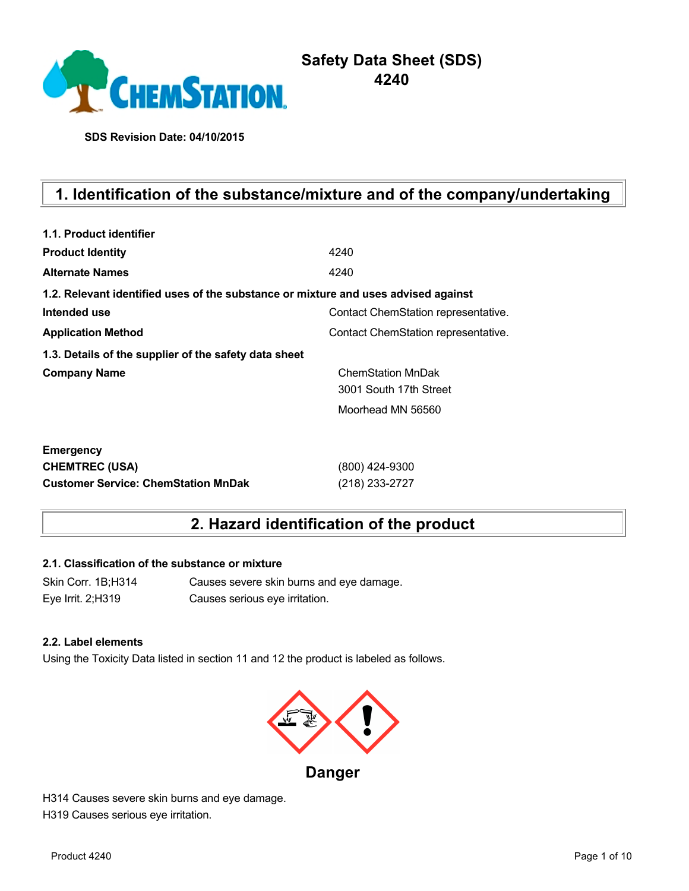

# **Safety Data Sheet (SDS) 4240**

**SDS Revision Date: 04/10/2015**

# **1. Identification of the substance/mixture and of the company/undertaking**

| 1.1. Product identifier                                                            |                                     |
|------------------------------------------------------------------------------------|-------------------------------------|
| <b>Product Identity</b>                                                            | 4240                                |
| <b>Alternate Names</b>                                                             | 4240                                |
| 1.2. Relevant identified uses of the substance or mixture and uses advised against |                                     |
| Intended use                                                                       | Contact ChemStation representative. |
| <b>Application Method</b>                                                          | Contact ChemStation representative. |
| 1.3. Details of the supplier of the safety data sheet                              |                                     |
| <b>Company Name</b>                                                                | <b>ChemStation MnDak</b>            |
|                                                                                    | 3001 South 17th Street              |
|                                                                                    | Moorhead MN 56560                   |
| <b>Emergency</b>                                                                   |                                     |
| <b>CHEMTREC (USA)</b>                                                              | (800) 424-9300                      |
| <b>Customer Service: ChemStation MnDak</b>                                         | (218) 233-2727                      |

# **2. Hazard identification of the product**

## **2.1. Classification of the substance or mixture**

Skin Corr. 1B;H314 Causes severe skin burns and eye damage. Eye Irrit. 2;H319 Causes serious eye irritation.

#### **2.2. Label elements**

Using the Toxicity Data listed in section 11 and 12 the product is labeled as follows.



**Danger**

H314 Causes severe skin burns and eye damage. H319 Causes serious eye irritation.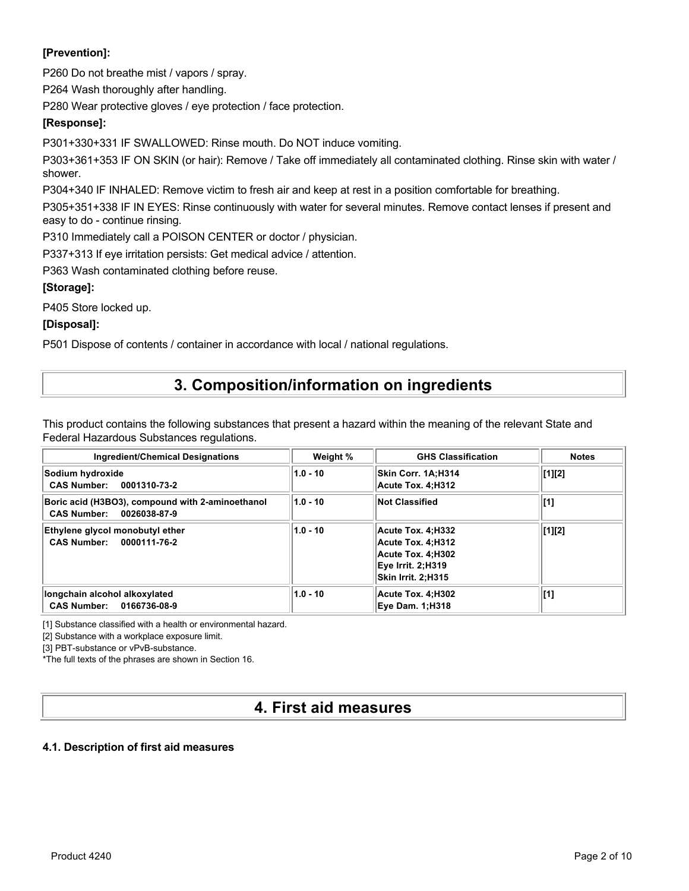# **[Prevention]:**

P260 Do not breathe mist / vapors / spray.

P264 Wash thoroughly after handling.

P280 Wear protective gloves / eye protection / face protection.

## **[Response]:**

P301+330+331 IF SWALLOWED: Rinse mouth. Do NOT induce vomiting.

P303+361+353 IF ON SKIN (or hair): Remove / Take off immediately all contaminated clothing. Rinse skin with water / shower.

P304+340 IF INHALED: Remove victim to fresh air and keep at rest in a position comfortable for breathing.

P305+351+338 IF IN EYES: Rinse continuously with water for several minutes. Remove contact lenses if present and easy to do - continue rinsing.

P310 Immediately call a POISON CENTER or doctor / physician.

P337+313 If eye irritation persists: Get medical advice / attention.

P363 Wash contaminated clothing before reuse.

## **[Storage]:**

P405 Store locked up.

**[Disposal]:**

P501 Dispose of contents / container in accordance with local / national regulations.

# **3. Composition/information on ingredients**

This product contains the following substances that present a hazard within the meaning of the relevant State and Federal Hazardous Substances regulations.

| <b>Ingredient/Chemical Designations</b>                                                | Weight %   | <b>GHS Classification</b>                                                                              | <b>Notes</b>                          |
|----------------------------------------------------------------------------------------|------------|--------------------------------------------------------------------------------------------------------|---------------------------------------|
| Sodium hydroxide<br>CAS Number: 0001310-73-2                                           | $1.0 - 10$ | Skin Corr. 1A:H314<br>Acute Tox. 4:H312                                                                | $\lfloor 1 \rfloor \lfloor 2 \rfloor$ |
| Boric acid (H3BO3), compound with 2-aminoethanol<br><b>CAS Number:</b><br>0026038-87-9 | $1.0 - 10$ | <b>Not Classified</b>                                                                                  | [1]                                   |
| Ethylene glycol monobutyl ether<br>CAS Number: 0000111-76-2                            | $1.0 - 10$ | Acute Tox. 4:H332<br>Acute Tox. 4:H312<br>Acute Tox. 4;H302<br>Eye Irrit. 2:H319<br>Skin Irrit. 2:H315 | $\lfloor 1 \rfloor \lfloor 2 \rfloor$ |
| longchain alcohol alkoxylated<br>CAS Number: 0166736-08-9                              | $1.0 - 10$ | Acute Tox. 4;H302<br><b>Eye Dam. 1:H318</b>                                                            | [1]                                   |

[1] Substance classified with a health or environmental hazard.

[2] Substance with a workplace exposure limit.

[3] PBT-substance or vPvB-substance.

\*The full texts of the phrases are shown in Section 16.

# **4. First aid measures**

## **4.1. Description of first aid measures**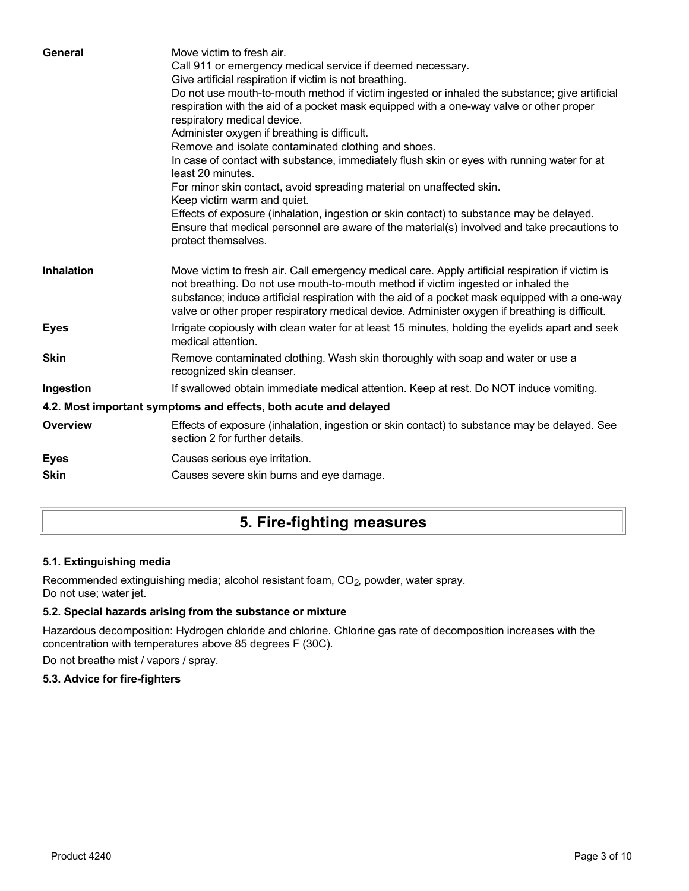| General           | Move victim to fresh air.<br>Call 911 or emergency medical service if deemed necessary.<br>Give artificial respiration if victim is not breathing.<br>Do not use mouth-to-mouth method if victim ingested or inhaled the substance; give artificial<br>respiration with the aid of a pocket mask equipped with a one-way valve or other proper<br>respiratory medical device.<br>Administer oxygen if breathing is difficult.<br>Remove and isolate contaminated clothing and shoes.<br>In case of contact with substance, immediately flush skin or eyes with running water for at<br>least 20 minutes.<br>For minor skin contact, avoid spreading material on unaffected skin.<br>Keep victim warm and quiet.<br>Effects of exposure (inhalation, ingestion or skin contact) to substance may be delayed.<br>Ensure that medical personnel are aware of the material(s) involved and take precautions to<br>protect themselves. |
|-------------------|-----------------------------------------------------------------------------------------------------------------------------------------------------------------------------------------------------------------------------------------------------------------------------------------------------------------------------------------------------------------------------------------------------------------------------------------------------------------------------------------------------------------------------------------------------------------------------------------------------------------------------------------------------------------------------------------------------------------------------------------------------------------------------------------------------------------------------------------------------------------------------------------------------------------------------------|
| <b>Inhalation</b> | Move victim to fresh air. Call emergency medical care. Apply artificial respiration if victim is<br>not breathing. Do not use mouth-to-mouth method if victim ingested or inhaled the<br>substance; induce artificial respiration with the aid of a pocket mask equipped with a one-way<br>valve or other proper respiratory medical device. Administer oxygen if breathing is difficult.                                                                                                                                                                                                                                                                                                                                                                                                                                                                                                                                         |
| <b>Eyes</b>       | Irrigate copiously with clean water for at least 15 minutes, holding the eyelids apart and seek<br>medical attention.                                                                                                                                                                                                                                                                                                                                                                                                                                                                                                                                                                                                                                                                                                                                                                                                             |
| <b>Skin</b>       | Remove contaminated clothing. Wash skin thoroughly with soap and water or use a<br>recognized skin cleanser.                                                                                                                                                                                                                                                                                                                                                                                                                                                                                                                                                                                                                                                                                                                                                                                                                      |
| Ingestion         | If swallowed obtain immediate medical attention. Keep at rest. Do NOT induce vomiting.                                                                                                                                                                                                                                                                                                                                                                                                                                                                                                                                                                                                                                                                                                                                                                                                                                            |
|                   | 4.2. Most important symptoms and effects, both acute and delayed                                                                                                                                                                                                                                                                                                                                                                                                                                                                                                                                                                                                                                                                                                                                                                                                                                                                  |
| <b>Overview</b>   | Effects of exposure (inhalation, ingestion or skin contact) to substance may be delayed. See<br>section 2 for further details.                                                                                                                                                                                                                                                                                                                                                                                                                                                                                                                                                                                                                                                                                                                                                                                                    |
| <b>Eyes</b>       | Causes serious eye irritation.                                                                                                                                                                                                                                                                                                                                                                                                                                                                                                                                                                                                                                                                                                                                                                                                                                                                                                    |
| <b>Skin</b>       | Causes severe skin burns and eye damage.                                                                                                                                                                                                                                                                                                                                                                                                                                                                                                                                                                                                                                                                                                                                                                                                                                                                                          |
|                   |                                                                                                                                                                                                                                                                                                                                                                                                                                                                                                                                                                                                                                                                                                                                                                                                                                                                                                                                   |

# **5. Fire-fighting measures**

# **5.1. Extinguishing media**

Recommended extinguishing media; alcohol resistant foam, CO<sub>2</sub>, powder, water spray. Do not use; water jet.

# **5.2. Special hazards arising from the substance or mixture**

Hazardous decomposition: Hydrogen chloride and chlorine. Chlorine gas rate of decomposition increases with the concentration with temperatures above 85 degrees F (30C).

Do not breathe mist / vapors / spray.

## **5.3. Advice for fire-fighters**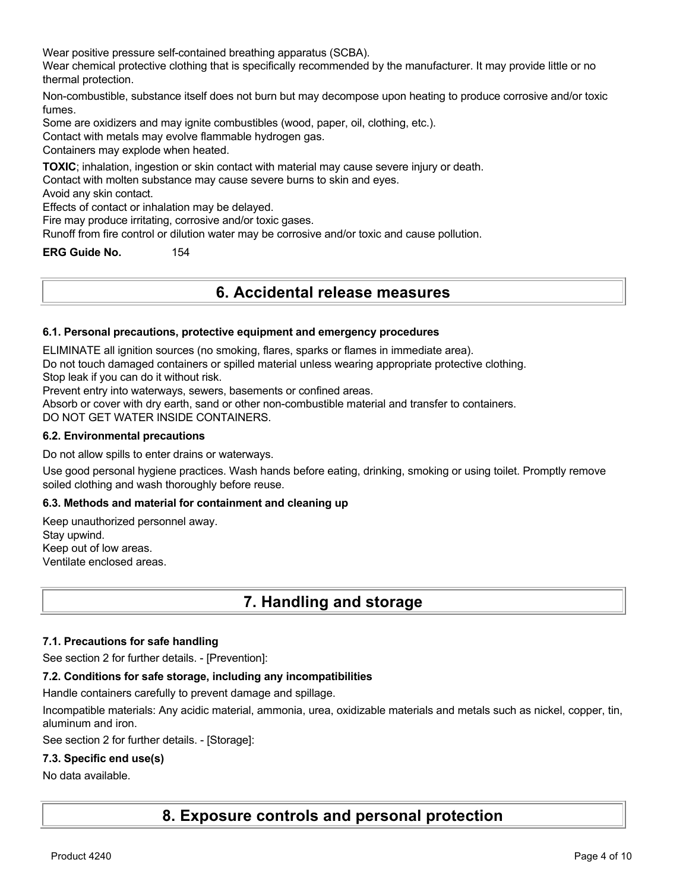Wear positive pressure self-contained breathing apparatus (SCBA).

Wear chemical protective clothing that is specifically recommended by the manufacturer. It may provide little or no thermal protection.

Non-combustible, substance itself does not burn but may decompose upon heating to produce corrosive and/or toxic fumes.

Some are oxidizers and may ignite combustibles (wood, paper, oil, clothing, etc.).

Contact with metals may evolve flammable hydrogen gas.

Containers may explode when heated.

**TOXIC**; inhalation, ingestion or skin contact with material may cause severe injury or death.

Contact with molten substance may cause severe burns to skin and eyes.

Avoid any skin contact.

Effects of contact or inhalation may be delayed.

Fire may produce irritating, corrosive and/or toxic gases.

Runoff from fire control or dilution water may be corrosive and/or toxic and cause pollution.

**ERG Guide No.** 154

# **6. Accidental release measures**

#### **6.1. Personal precautions, protective equipment and emergency procedures**

ELIMINATE all ignition sources (no smoking, flares, sparks or flames in immediate area).

Do not touch damaged containers or spilled material unless wearing appropriate protective clothing.

Stop leak if you can do it without risk.

Prevent entry into waterways, sewers, basements or confined areas.

Absorb or cover with dry earth, sand or other non-combustible material and transfer to containers.

DO NOT GET WATER INSIDE CONTAINERS.

#### **6.2. Environmental precautions**

Do not allow spills to enter drains or waterways.

Use good personal hygiene practices. Wash hands before eating, drinking, smoking or using toilet. Promptly remove soiled clothing and wash thoroughly before reuse.

### **6.3. Methods and material for containment and cleaning up**

Keep unauthorized personnel away. Stay upwind. Keep out of low areas. Ventilate enclosed areas.

# **7. Handling and storage**

#### **7.1. Precautions for safe handling**

See section 2 for further details. - [Prevention]:

#### **7.2. Conditions for safe storage, including any incompatibilities**

Handle containers carefully to prevent damage and spillage.

Incompatible materials: Any acidic material, ammonia, urea, oxidizable materials and metals such as nickel, copper, tin, aluminum and iron.

See section 2 for further details. - [Storage]:

#### **7.3. Specific end use(s)**

#### No data available.

**8. Exposure controls and personal protection**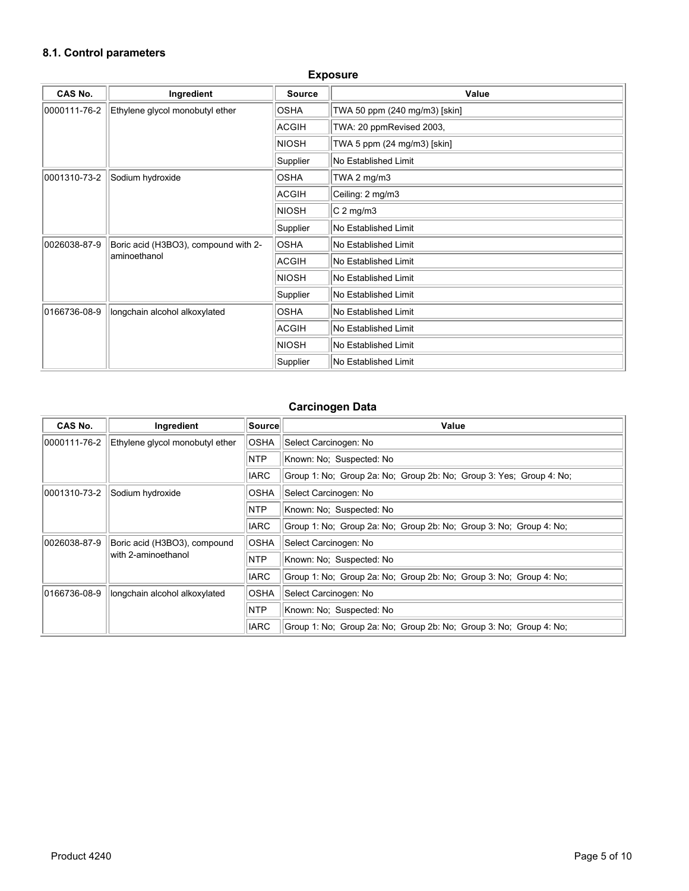# **8.1. Control parameters**

| CAS No.      | Ingredient                           | <b>Source</b>        | Value                         |
|--------------|--------------------------------------|----------------------|-------------------------------|
| 0000111-76-2 | Ethylene glycol monobutyl ether      | <b>OSHA</b>          | TWA 50 ppm (240 mg/m3) [skin] |
|              |                                      | <b>ACGIH</b>         | TWA: 20 ppmRevised 2003,      |
|              |                                      | <b>NIOSH</b>         | TWA 5 ppm (24 mg/m3) [skin]   |
|              |                                      | Supplier             | No Established Limit          |
| 0001310-73-2 | Sodium hydroxide                     | <b>OSHA</b>          | TWA 2 $mg/m3$                 |
|              |                                      | ACGIH                | Ceiling: 2 mg/m3              |
|              |                                      | <b>NIOSH</b>         | $C2$ mg/m3                    |
|              |                                      | Supplier             | No Established Limit          |
| 0026038-87-9 | Boric acid (H3BO3), compound with 2- |                      | No Established Limit          |
| aminoethanol | ACGIH                                | No Established Limit |                               |
|              |                                      | <b>NIOSH</b>         | No Established Limit          |
|              |                                      | Supplier             | No Established Limit          |
| 0166736-08-9 | longchain alcohol alkoxylated        | <b>OSHA</b>          | No Established Limit          |
|              |                                      | ACGIH                | No Established Limit          |
|              |                                      | <b>NIOSH</b>         | No Established Limit          |
|              |                                      | Supplier             | No Established Limit          |

#### **Exposure**

# **Carcinogen Data**

| <b>CAS No.</b> | Ingredient                      | ∣Source∣                               | Value                                                               |
|----------------|---------------------------------|----------------------------------------|---------------------------------------------------------------------|
| 0000111-76-2   | Ethylene glycol monobutyl ether | <b>OSHA</b>                            | Select Carcinogen: No                                               |
|                |                                 | <b>NTP</b><br>Known: No: Suspected: No |                                                                     |
|                |                                 | <b>IARC</b>                            | Group 1: No; Group 2a: No; Group 2b: No; Group 3: Yes; Group 4: No; |
| 0001310-73-2   | Sodium hydroxide                | <b>OSHA</b>                            | Select Carcinogen: No                                               |
|                |                                 | <b>NTP</b>                             | Known: No: Suspected: No                                            |
|                |                                 | <b>IARC</b>                            | Group 1: No; Group 2a: No; Group 2b: No; Group 3: No; Group 4: No;  |
| 0026038-87-9   | Boric acid (H3BO3), compound    | <b>OSHA</b>                            | Select Carcinogen: No                                               |
|                | with 2-aminoethanol             | NTP                                    | Known: No: Suspected: No                                            |
|                |                                 | <b>IARC</b>                            | Group 1: No; Group 2a: No; Group 2b: No; Group 3: No; Group 4: No;  |
| 0166736-08-9   | longchain alcohol alkoxylated   | <b>OSHA</b>                            | Select Carcinogen: No                                               |
|                |                                 | <b>NTP</b>                             | Known: No; Suspected: No                                            |
|                |                                 | <b>IARC</b>                            | Group 1: No: Group 2a: No: Group 2b: No: Group 3: No: Group 4: No:  |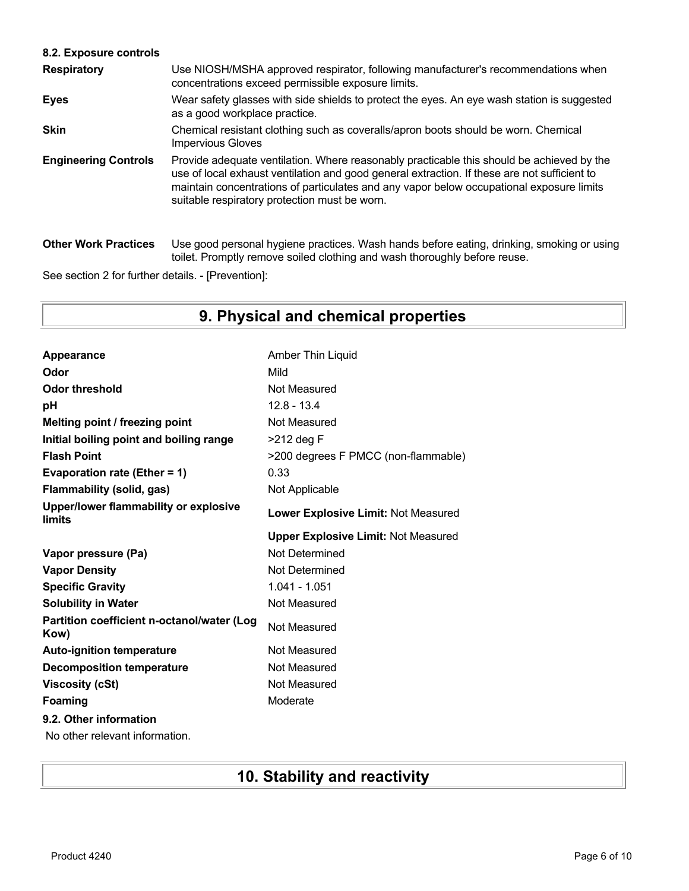## **8.2. Exposure controls**

| <b>Respiratory</b>          | Use NIOSH/MSHA approved respirator, following manufacturer's recommendations when<br>concentrations exceed permissible exposure limits.                                                                                                                                                                                                |
|-----------------------------|----------------------------------------------------------------------------------------------------------------------------------------------------------------------------------------------------------------------------------------------------------------------------------------------------------------------------------------|
| Eyes                        | Wear safety glasses with side shields to protect the eyes. An eye wash station is suggested<br>as a good workplace practice.                                                                                                                                                                                                           |
| <b>Skin</b>                 | Chemical resistant clothing such as coveralls/apron boots should be worn. Chemical<br><b>Impervious Gloves</b>                                                                                                                                                                                                                         |
| <b>Engineering Controls</b> | Provide adequate ventilation. Where reasonably practicable this should be achieved by the<br>use of local exhaust ventilation and good general extraction. If these are not sufficient to<br>maintain concentrations of particulates and any vapor below occupational exposure limits<br>suitable respiratory protection must be worn. |
| <b>Other Work Practices</b> | Use good personal hygiene practices. Wash hands before eating, drinking, smoking or using<br>toilet. Promptly remove soiled clothing and wash thoroughly before reuse.                                                                                                                                                                 |

See section 2 for further details. - [Prevention]:

# **9. Physical and chemical properties**

| Appearance                                         | Amber Thin Liquid                          |
|----------------------------------------------------|--------------------------------------------|
| Odor                                               | Mild                                       |
| <b>Odor threshold</b>                              | Not Measured                               |
| рH                                                 | $12.8 - 13.4$                              |
| Melting point / freezing point                     | Not Measured                               |
| Initial boiling point and boiling range            | >212 deg F                                 |
| <b>Flash Point</b>                                 | >200 degrees F PMCC (non-flammable)        |
| Evaporation rate (Ether = 1)                       | 0.33                                       |
| <b>Flammability (solid, gas)</b>                   | Not Applicable                             |
| Upper/lower flammability or explosive<br>limits    | Lower Explosive Limit: Not Measured        |
|                                                    | <b>Upper Explosive Limit: Not Measured</b> |
|                                                    |                                            |
| Vapor pressure (Pa)                                | Not Determined                             |
| <b>Vapor Density</b>                               | Not Determined                             |
| <b>Specific Gravity</b>                            | 1.041 - 1.051                              |
| <b>Solubility in Water</b>                         | Not Measured                               |
| Partition coefficient n-octanol/water (Log<br>Kow) | Not Measured                               |
| <b>Auto-ignition temperature</b>                   | Not Measured                               |
| <b>Decomposition temperature</b>                   | Not Measured                               |
| <b>Viscosity (cSt)</b>                             | Not Measured                               |
| Foaming                                            | Moderate                                   |
| 9.2. Other information                             |                                            |

No other relevant information.

# **10. Stability and reactivity**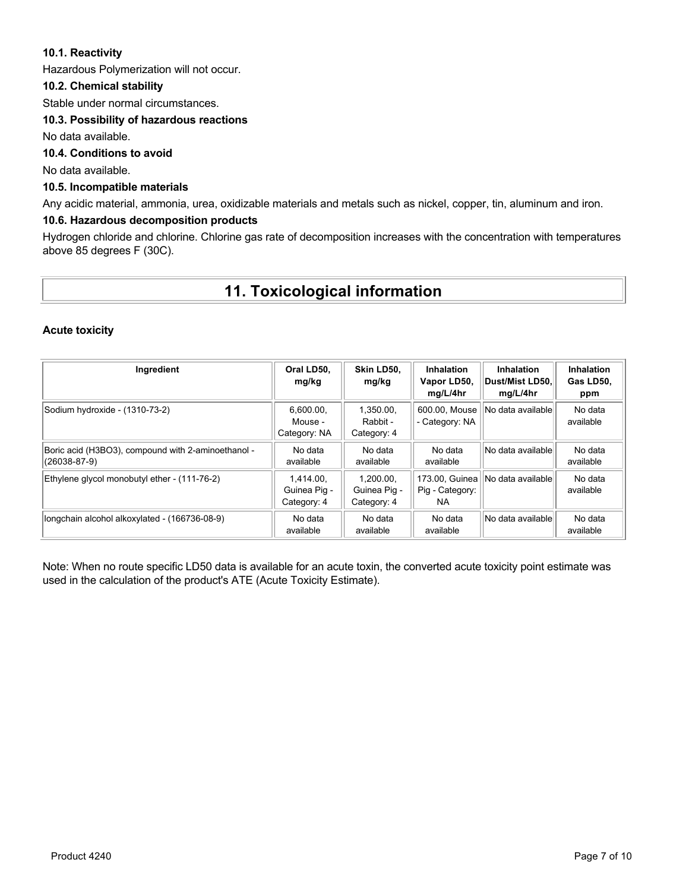### **10.1. Reactivity**

Hazardous Polymerization will not occur.

### **10.2. Chemical stability**

Stable under normal circumstances.

### **10.3. Possibility of hazardous reactions**

No data available.

# **10.4. Conditions to avoid**

No data available.

### **10.5. Incompatible materials**

Any acidic material, ammonia, urea, oxidizable materials and metals such as nickel, copper, tin, aluminum and iron.

#### **10.6. Hazardous decomposition products**

Hydrogen chloride and chlorine. Chlorine gas rate of decomposition increases with the concentration with temperatures above 85 degrees F (30C).

# **11. Toxicological information**

#### **Acute toxicity**

| Ingredient                                                         | Oral LD50.<br>mg/kg                      | Skin LD50.<br>mg/kg                      | <b>Inhalation</b><br>Vapor LD50,<br>mg/L/4hr | <b>Inhalation</b><br>∣Dust/Mist LD50.∣<br>mg/L/4hr | Inhalation<br>Gas LD50,<br>ppm |
|--------------------------------------------------------------------|------------------------------------------|------------------------------------------|----------------------------------------------|----------------------------------------------------|--------------------------------|
| Sodium hydroxide - (1310-73-2)                                     | 6,600.00,<br>Mouse -<br>Category: NA     | 1.350.00.<br>Rabbit -<br>Category: 4     | 600.00. Mouse<br>- Category: NA              | No data available                                  | No data<br>available           |
| Boric acid (H3BO3), compound with 2-aminoethanol -<br>(26038-87-9) | No data<br>available                     | No data<br>available                     | No data<br>available                         | No data availablel                                 | No data<br>available           |
| Ethylene glycol monobutyl ether - (111-76-2)                       | 1.414.00.<br>Guinea Pig -<br>Category: 4 | 1.200.00.<br>Guinea Pig -<br>Category: 4 | 173.00, Guinea<br>Pig - Category:<br>NA.     | No data availablel                                 | No data<br>available           |
| longchain alcohol alkoxylated - (166736-08-9)                      | No data<br>available                     | No data<br>available                     | No data<br>available                         | No data availablel                                 | No data<br>available           |

Note: When no route specific LD50 data is available for an acute toxin, the converted acute toxicity point estimate was used in the calculation of the product's ATE (Acute Toxicity Estimate).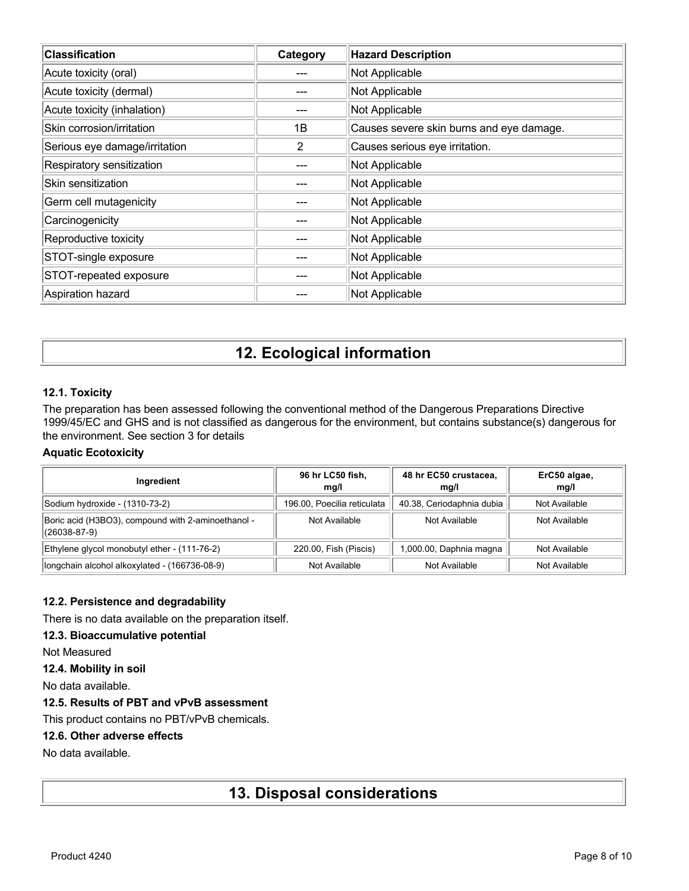| <b>Classification</b>         | Category | <b>Hazard Description</b>                |
|-------------------------------|----------|------------------------------------------|
| Acute toxicity (oral)         |          | Not Applicable                           |
| Acute toxicity (dermal)       |          | Not Applicable                           |
| Acute toxicity (inhalation)   |          | Not Applicable                           |
| Skin corrosion/irritation     | 1B       | Causes severe skin burns and eye damage. |
| Serious eye damage/irritation | 2        | Causes serious eye irritation.           |
| Respiratory sensitization     |          | Not Applicable                           |
| Skin sensitization            |          | Not Applicable                           |
| Germ cell mutagenicity        |          | Not Applicable                           |
| Carcinogenicity               |          | Not Applicable                           |
| Reproductive toxicity         |          | Not Applicable                           |
| STOT-single exposure          |          | Not Applicable                           |
| STOT-repeated exposure        |          | Not Applicable                           |
| Aspiration hazard             |          | Not Applicable                           |

# **12. Ecological information**

### **12.1. Toxicity**

The preparation has been assessed following the conventional method of the Dangerous Preparations Directive 1999/45/EC and GHS and is not classified as dangerous for the environment, but contains substance(s) dangerous for the environment. See section 3 for details

### **Aquatic Ecotoxicity**

| Ingredient                                                         | 96 hr LC50 fish,<br>mq/l    | 48 hr EC50 crustacea,<br>mq/l | ErC50 algae,<br>mq/l |
|--------------------------------------------------------------------|-----------------------------|-------------------------------|----------------------|
| Sodium hydroxide - (1310-73-2)                                     | 196.00, Poecilia reticulata | 40.38, Ceriodaphnia dubia     | Not Available        |
| Boric acid (H3BO3), compound with 2-aminoethanol -<br>(26038-87-9) | Not Available               | Not Available                 | Not Available        |
| Ethylene glycol monobutyl ether - (111-76-2)                       | 220.00, Fish (Piscis)       | 1,000.00, Daphnia magna       | Not Available        |
| longchain alcohol alkoxylated - (166736-08-9)                      | Not Available               | Not Available                 | Not Available        |

### **12.2. Persistence and degradability**

There is no data available on the preparation itself.

#### **12.3. Bioaccumulative potential**

Not Measured

**12.4. Mobility in soil**

No data available.

## **12.5. Results of PBT and vPvB assessment**

This product contains no PBT/vPvB chemicals.

#### **12.6. Other adverse effects**

No data available.

# **13. Disposal considerations**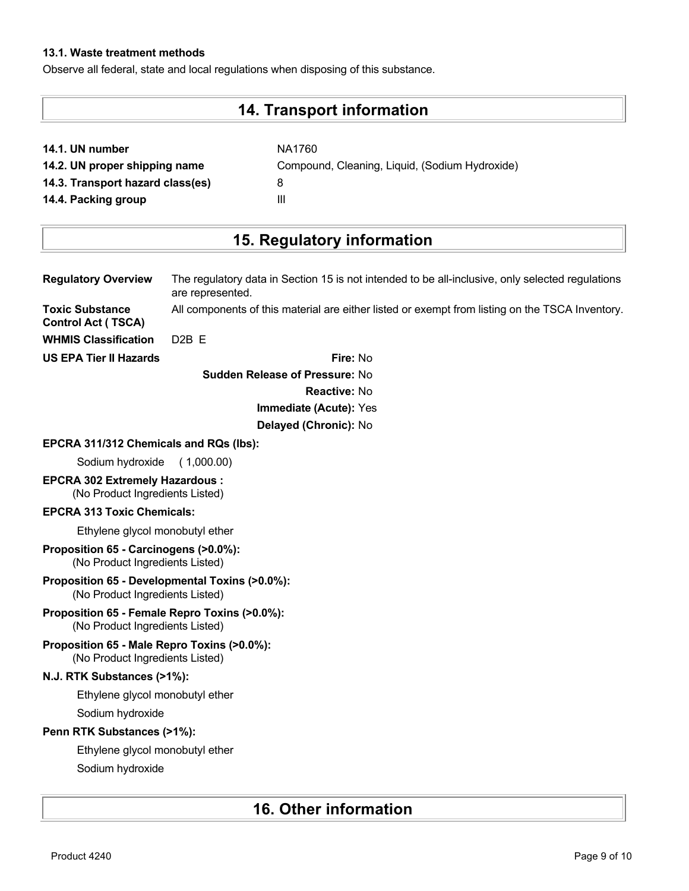## **13.1. Waste treatment methods**

Observe all federal, state and local regulations when disposing of this substance.

# **14. Transport information**

| 14.1. UN number |  |  |  |  |
|-----------------|--|--|--|--|
|-----------------|--|--|--|--|

**14.1. UN number** NA1760 **14.2. UN proper shipping name** Compound, Cleaning, Liquid, (Sodium Hydroxide) **14.3. Transport hazard class(es)** 8 **14.4. Packing group III** 

# **15. Regulatory information**

| <b>Regulatory Overview</b>                                                        | The regulatory data in Section 15 is not intended to be all-inclusive, only selected regulations<br>are represented. |
|-----------------------------------------------------------------------------------|----------------------------------------------------------------------------------------------------------------------|
| <b>Toxic Substance</b><br><b>Control Act (TSCA)</b>                               | All components of this material are either listed or exempt from listing on the TSCA Inventory.                      |
| <b>WHMIS Classification</b>                                                       | D <sub>2</sub> B <sub>E</sub>                                                                                        |
| <b>US EPA Tier II Hazards</b>                                                     | Fire: No                                                                                                             |
|                                                                                   | <b>Sudden Release of Pressure: No</b>                                                                                |
|                                                                                   | <b>Reactive: No</b>                                                                                                  |
|                                                                                   | Immediate (Acute): Yes                                                                                               |
|                                                                                   | Delayed (Chronic): No                                                                                                |
| EPCRA 311/312 Chemicals and RQs (lbs):                                            |                                                                                                                      |
| Sodium hydroxide                                                                  | (1,000.00)                                                                                                           |
| <b>EPCRA 302 Extremely Hazardous:</b><br>(No Product Ingredients Listed)          |                                                                                                                      |
| <b>EPCRA 313 Toxic Chemicals:</b>                                                 |                                                                                                                      |
| Ethylene glycol monobutyl ether                                                   |                                                                                                                      |
| Proposition 65 - Carcinogens (>0.0%):<br>(No Product Ingredients Listed)          |                                                                                                                      |
| Proposition 65 - Developmental Toxins (>0.0%):<br>(No Product Ingredients Listed) |                                                                                                                      |
| Proposition 65 - Female Repro Toxins (>0.0%):<br>(No Product Ingredients Listed)  |                                                                                                                      |
| Proposition 65 - Male Repro Toxins (>0.0%):<br>(No Product Ingredients Listed)    |                                                                                                                      |
| N.J. RTK Substances (>1%):                                                        |                                                                                                                      |
| Ethylene glycol monobutyl ether                                                   |                                                                                                                      |
| Sodium hydroxide                                                                  |                                                                                                                      |
| Penn RTK Substances (>1%):                                                        |                                                                                                                      |
| Ethylene glycol monobutyl ether                                                   |                                                                                                                      |
| Sodium hydroxide                                                                  |                                                                                                                      |

# **16. Other information**